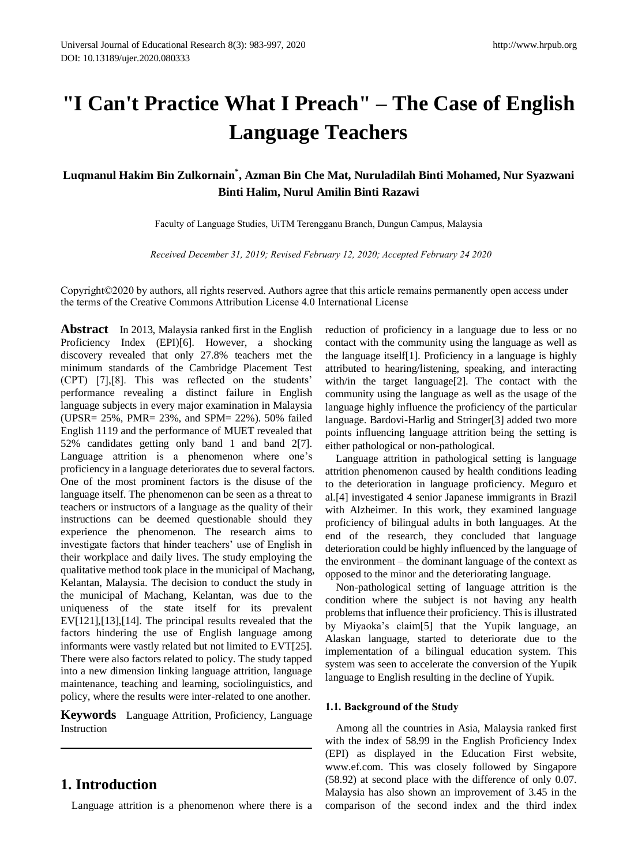# **"I Can't Practice What I Preach" – The Case of English Language Teachers**

**Luqmanul Hakim Bin Zulkornain\* , Azman Bin Che Mat, Nuruladilah Binti Mohamed, Nur Syazwani Binti Halim, Nurul Amilin Binti Razawi**

Faculty of Language Studies, UiTM Terengganu Branch, Dungun Campus, Malaysia

*Received December 31, 2019; Revised February 12, 2020; Accepted February 24 2020*

Copyright©2020 by authors, all rights reserved. Authors agree that this article remains permanently open access under the terms of the Creative Commons Attribution License 4.0 International License

**Abstract** In 2013, Malaysia ranked first in the English Proficiency Index (EPI)[6]. However, a shocking discovery revealed that only 27.8% teachers met the minimum standards of the Cambridge Placement Test (CPT) [7],[8]. This was reflected on the students' performance revealing a distinct failure in English language subjects in every major examination in Malaysia (UPSR= 25%, PMR= 23%, and SPM= 22%). 50% failed English 1119 and the performance of MUET revealed that 52% candidates getting only band 1 and band 2[7]. Language attrition is a phenomenon where one's proficiency in a language deteriorates due to several factors. One of the most prominent factors is the disuse of the language itself. The phenomenon can be seen as a threat to teachers or instructors of a language as the quality of their instructions can be deemed questionable should they experience the phenomenon. The research aims to investigate factors that hinder teachers' use of English in their workplace and daily lives. The study employing the qualitative method took place in the municipal of Machang, Kelantan, Malaysia. The decision to conduct the study in the municipal of Machang, Kelantan, was due to the uniqueness of the state itself for its prevalent EV[121],[13],[14]. The principal results revealed that the factors hindering the use of English language among informants were vastly related but not limited to EVT[25]. There were also factors related to policy. The study tapped into a new dimension linking language attrition, language maintenance, teaching and learning, sociolinguistics, and policy, where the results were inter-related to one another.

**Keywords** Language Attrition, Proficiency, Language Instruction

# **1. Introduction**

Language attrition is a phenomenon where there is a

reduction of proficiency in a language due to less or no contact with the community using the language as well as the language itself[1]. Proficiency in a language is highly attributed to hearing/listening, speaking, and interacting with/in the target language[2]. The contact with the community using the language as well as the usage of the language highly influence the proficiency of the particular language. Bardovi-Harlig and Stringer[3] added two more points influencing language attrition being the setting is either pathological or non-pathological.

Language attrition in pathological setting is language attrition phenomenon caused by health conditions leading to the deterioration in language proficiency. Meguro et al.[4] investigated 4 senior Japanese immigrants in Brazil with Alzheimer. In this work, they examined language proficiency of bilingual adults in both languages. At the end of the research, they concluded that language deterioration could be highly influenced by the language of the environment – the dominant language of the context as opposed to the minor and the deteriorating language.

Non-pathological setting of language attrition is the condition where the subject is not having any health problems that influence their proficiency. This is illustrated by Miyaoka's claim[5] that the Yupik language, an Alaskan language, started to deteriorate due to the implementation of a bilingual education system. This system was seen to accelerate the conversion of the Yupik language to English resulting in the decline of Yupik.

# **1.1. Background of the Study**

Among all the countries in Asia, Malaysia ranked first with the index of 58.99 in the English Proficiency Index (EPI) as displayed in the Education First website, www.ef.com. This was closely followed by Singapore (58.92) at second place with the difference of only 0.07. Malaysia has also shown an improvement of 3.45 in the comparison of the second index and the third index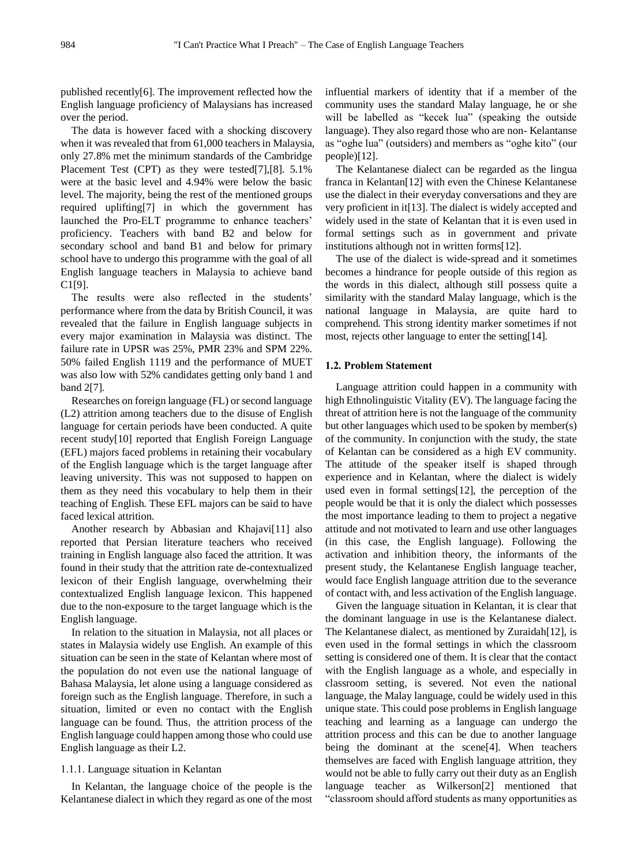published recently[6]. The improvement reflected how the English language proficiency of Malaysians has increased over the period.

The data is however faced with a shocking discovery when it was revealed that from 61,000 teachers in Malaysia, only 27.8% met the minimum standards of the Cambridge Placement Test (CPT) as they were tested[7],[8]. 5.1% were at the basic level and 4.94% were below the basic level. The majority, being the rest of the mentioned groups required uplifting[7] in which the government has launched the Pro-ELT programme to enhance teachers' proficiency. Teachers with band B2 and below for secondary school and band B1 and below for primary school have to undergo this programme with the goal of all English language teachers in Malaysia to achieve band C1[9].

The results were also reflected in the students' performance where from the data by British Council, it was revealed that the failure in English language subjects in every major examination in Malaysia was distinct. The failure rate in UPSR was 25%, PMR 23% and SPM 22%. 50% failed English 1119 and the performance of MUET was also low with 52% candidates getting only band 1 and band 2[7].

Researches on foreign language (FL) or second language (L2) attrition among teachers due to the disuse of English language for certain periods have been conducted. A quite recent study[10] reported that English Foreign Language (EFL) majors faced problems in retaining their vocabulary of the English language which is the target language after leaving university. This was not supposed to happen on them as they need this vocabulary to help them in their teaching of English. These EFL majors can be said to have faced lexical attrition.

Another research by Abbasian and Khajavi[11] also reported that Persian literature teachers who received training in English language also faced the attrition. It was found in their study that the attrition rate de-contextualized lexicon of their English language, overwhelming their contextualized English language lexicon. This happened due to the non-exposure to the target language which is the English language.

In relation to the situation in Malaysia, not all places or states in Malaysia widely use English. An example of this situation can be seen in the state of Kelantan where most of the population do not even use the national language of Bahasa Malaysia, let alone using a language considered as foreign such as the English language. Therefore, in such a situation, limited or even no contact with the English language can be found. Thus, the attrition process of the English language could happen among those who could use English language as their L2.

#### 1.1.1. Language situation in Kelantan

In Kelantan, the language choice of the people is the Kelantanese dialect in which they regard as one of the most influential markers of identity that if a member of the community uses the standard Malay language, he or she will be labelled as "kecek lua" (speaking the outside language). They also regard those who are non- Kelantanse as "oghe lua" (outsiders) and members as "oghe kito" (our people)[12].

The Kelantanese dialect can be regarded as the lingua franca in Kelantan[12] with even the Chinese Kelantanese use the dialect in their everyday conversations and they are very proficient in it[13]. The dialect is widely accepted and widely used in the state of Kelantan that it is even used in formal settings such as in government and private institutions although not in written forms[12].

The use of the dialect is wide-spread and it sometimes becomes a hindrance for people outside of this region as the words in this dialect, although still possess quite a similarity with the standard Malay language, which is the national language in Malaysia, are quite hard to comprehend. This strong identity marker sometimes if not most, rejects other language to enter the setting[14].

## **1.2. Problem Statement**

Language attrition could happen in a community with high Ethnolinguistic Vitality (EV). The language facing the threat of attrition here is not the language of the community but other languages which used to be spoken by member(s) of the community. In conjunction with the study, the state of Kelantan can be considered as a high EV community. The attitude of the speaker itself is shaped through experience and in Kelantan, where the dialect is widely used even in formal settings[12], the perception of the people would be that it is only the dialect which possesses the most importance leading to them to project a negative attitude and not motivated to learn and use other languages (in this case, the English language). Following the activation and inhibition theory, the informants of the present study, the Kelantanese English language teacher, would face English language attrition due to the severance of contact with, and less activation of the English language.

Given the language situation in Kelantan, it is clear that the dominant language in use is the Kelantanese dialect. The Kelantanese dialect, as mentioned by Zuraidah[12], is even used in the formal settings in which the classroom setting is considered one of them. It is clear that the contact with the English language as a whole, and especially in classroom setting, is severed. Not even the national language, the Malay language, could be widely used in this unique state. This could pose problems in English language teaching and learning as a language can undergo the attrition process and this can be due to another language being the dominant at the scene[4]. When teachers themselves are faced with English language attrition, they would not be able to fully carry out their duty as an English language teacher as Wilkerson[2] mentioned that "classroom should afford students as many opportunities as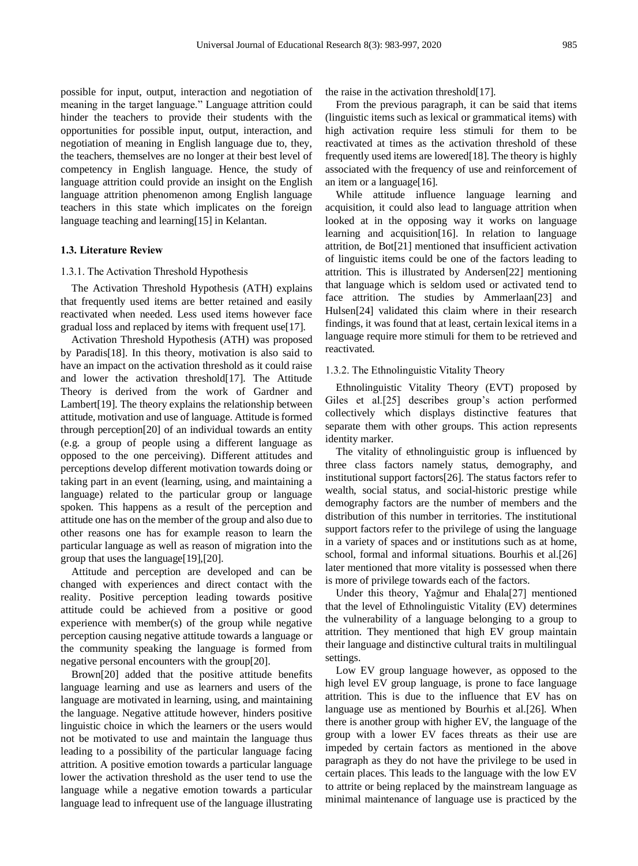possible for input, output, interaction and negotiation of meaning in the target language." Language attrition could hinder the teachers to provide their students with the opportunities for possible input, output, interaction, and negotiation of meaning in English language due to, they, the teachers, themselves are no longer at their best level of competency in English language. Hence, the study of language attrition could provide an insight on the English language attrition phenomenon among English language teachers in this state which implicates on the foreign language teaching and learning[15] in Kelantan.

#### **1.3. Literature Review**

## 1.3.1. The Activation Threshold Hypothesis

The Activation Threshold Hypothesis (ATH) explains that frequently used items are better retained and easily reactivated when needed. Less used items however face gradual loss and replaced by items with frequent use[17].

Activation Threshold Hypothesis (ATH) was proposed by Paradis[18]. In this theory, motivation is also said to have an impact on the activation threshold as it could raise and lower the activation threshold[17]. The Attitude Theory is derived from the work of Gardner and Lambert[19]. The theory explains the relationship between attitude, motivation and use of language. Attitude is formed through perception[20] of an individual towards an entity (e.g. a group of people using a different language as opposed to the one perceiving). Different attitudes and perceptions develop different motivation towards doing or taking part in an event (learning, using, and maintaining a language) related to the particular group or language spoken. This happens as a result of the perception and attitude one has on the member of the group and also due to other reasons one has for example reason to learn the particular language as well as reason of migration into the group that uses the language[19],[20].

Attitude and perception are developed and can be changed with experiences and direct contact with the reality. Positive perception leading towards positive attitude could be achieved from a positive or good experience with member(s) of the group while negative perception causing negative attitude towards a language or the community speaking the language is formed from negative personal encounters with the group[20].

Brown[20] added that the positive attitude benefits language learning and use as learners and users of the language are motivated in learning, using, and maintaining the language. Negative attitude however, hinders positive linguistic choice in which the learners or the users would not be motivated to use and maintain the language thus leading to a possibility of the particular language facing attrition. A positive emotion towards a particular language lower the activation threshold as the user tend to use the language while a negative emotion towards a particular language lead to infrequent use of the language illustrating

the raise in the activation threshold[17].

From the previous paragraph, it can be said that items (linguistic items such as lexical or grammatical items) with high activation require less stimuli for them to be reactivated at times as the activation threshold of these frequently used items are lowered[18]. The theory is highly associated with the frequency of use and reinforcement of an item or a language[16].

While attitude influence language learning and acquisition, it could also lead to language attrition when looked at in the opposing way it works on language learning and acquisition[16]. In relation to language attrition, de Bot[21] mentioned that insufficient activation of linguistic items could be one of the factors leading to attrition. This is illustrated by Andersen[22] mentioning that language which is seldom used or activated tend to face attrition. The studies by Ammerlaan[23] and Hulsen[24] validated this claim where in their research findings, it was found that at least, certain lexical items in a language require more stimuli for them to be retrieved and reactivated.

#### 1.3.2. The Ethnolinguistic Vitality Theory

Ethnolinguistic Vitality Theory (EVT) proposed by Giles et al.[25] describes group's action performed collectively which displays distinctive features that separate them with other groups. This action represents identity marker.

The vitality of ethnolinguistic group is influenced by three class factors namely status, demography, and institutional support factors[26]. The status factors refer to wealth, social status, and social-historic prestige while demography factors are the number of members and the distribution of this number in territories. The institutional support factors refer to the privilege of using the language in a variety of spaces and or institutions such as at home, school, formal and informal situations. Bourhis et al.[26] later mentioned that more vitality is possessed when there is more of privilege towards each of the factors.

Under this theory, Yağmur and Ehala[27] mentioned that the level of Ethnolinguistic Vitality (EV) determines the vulnerability of a language belonging to a group to attrition. They mentioned that high EV group maintain their language and distinctive cultural traits in multilingual settings.

Low EV group language however, as opposed to the high level EV group language, is prone to face language attrition. This is due to the influence that EV has on language use as mentioned by Bourhis et al.[26]. When there is another group with higher EV, the language of the group with a lower EV faces threats as their use are impeded by certain factors as mentioned in the above paragraph as they do not have the privilege to be used in certain places. This leads to the language with the low EV to attrite or being replaced by the mainstream language as minimal maintenance of language use is practiced by the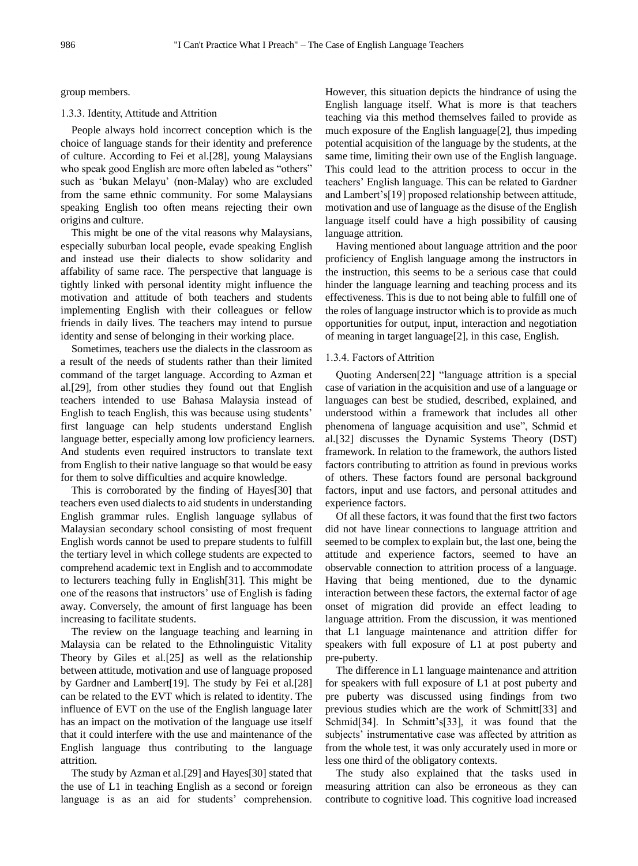group members.

# 1.3.3. Identity, Attitude and Attrition

People always hold incorrect conception which is the choice of language stands for their identity and preference of culture. According to Fei et al.[28], young Malaysians who speak good English are more often labeled as "others" such as 'bukan Melayu' (non-Malay) who are excluded from the same ethnic community. For some Malaysians speaking English too often means rejecting their own origins and culture.

This might be one of the vital reasons why Malaysians, especially suburban local people, evade speaking English and instead use their dialects to show solidarity and affability of same race. The perspective that language is tightly linked with personal identity might influence the motivation and attitude of both teachers and students implementing English with their colleagues or fellow friends in daily lives. The teachers may intend to pursue identity and sense of belonging in their working place.

Sometimes, teachers use the dialects in the classroom as a result of the needs of students rather than their limited command of the target language. According to Azman et al.[29], from other studies they found out that English teachers intended to use Bahasa Malaysia instead of English to teach English, this was because using students' first language can help students understand English language better, especially among low proficiency learners. And students even required instructors to translate text from English to their native language so that would be easy for them to solve difficulties and acquire knowledge.

This is corroborated by the finding of Hayes[30] that teachers even used dialects to aid students in understanding English grammar rules. English language syllabus of Malaysian secondary school consisting of most frequent English words cannot be used to prepare students to fulfill the tertiary level in which college students are expected to comprehend academic text in English and to accommodate to lecturers teaching fully in English[31]. This might be one of the reasons that instructors' use of English is fading away. Conversely, the amount of first language has been increasing to facilitate students.

The review on the language teaching and learning in Malaysia can be related to the Ethnolinguistic Vitality Theory by Giles et al.[25] as well as the relationship between attitude, motivation and use of language proposed by Gardner and Lambert[19]. The study by Fei et al.[28] can be related to the EVT which is related to identity. The influence of EVT on the use of the English language later has an impact on the motivation of the language use itself that it could interfere with the use and maintenance of the English language thus contributing to the language attrition.

The study by Azman et al.[29] and Hayes[30] stated that the use of L1 in teaching English as a second or foreign language is as an aid for students' comprehension.

However, this situation depicts the hindrance of using the English language itself. What is more is that teachers teaching via this method themselves failed to provide as much exposure of the English language[2], thus impeding potential acquisition of the language by the students, at the same time, limiting their own use of the English language. This could lead to the attrition process to occur in the teachers' English language. This can be related to Gardner and Lambert's[19] proposed relationship between attitude, motivation and use of language as the disuse of the English language itself could have a high possibility of causing language attrition.

Having mentioned about language attrition and the poor proficiency of English language among the instructors in the instruction, this seems to be a serious case that could hinder the language learning and teaching process and its effectiveness. This is due to not being able to fulfill one of the roles of language instructor which is to provide as much opportunities for output, input, interaction and negotiation of meaning in target language[2], in this case, English.

# 1.3.4. Factors of Attrition

Quoting Andersen[22] "language attrition is a special case of variation in the acquisition and use of a language or languages can best be studied, described, explained, and understood within a framework that includes all other phenomena of language acquisition and use", Schmid et al.[32] discusses the Dynamic Systems Theory (DST) framework. In relation to the framework, the authors listed factors contributing to attrition as found in previous works of others. These factors found are personal background factors, input and use factors, and personal attitudes and experience factors.

Of all these factors, it was found that the first two factors did not have linear connections to language attrition and seemed to be complex to explain but, the last one, being the attitude and experience factors, seemed to have an observable connection to attrition process of a language. Having that being mentioned, due to the dynamic interaction between these factors, the external factor of age onset of migration did provide an effect leading to language attrition. From the discussion, it was mentioned that L1 language maintenance and attrition differ for speakers with full exposure of L1 at post puberty and pre-puberty.

The difference in L1 language maintenance and attrition for speakers with full exposure of L1 at post puberty and pre puberty was discussed using findings from two previous studies which are the work of Schmitt[33] and Schmid[34]. In Schmitt's[33], it was found that the subjects' instrumentative case was affected by attrition as from the whole test, it was only accurately used in more or less one third of the obligatory contexts.

The study also explained that the tasks used in measuring attrition can also be erroneous as they can contribute to cognitive load. This cognitive load increased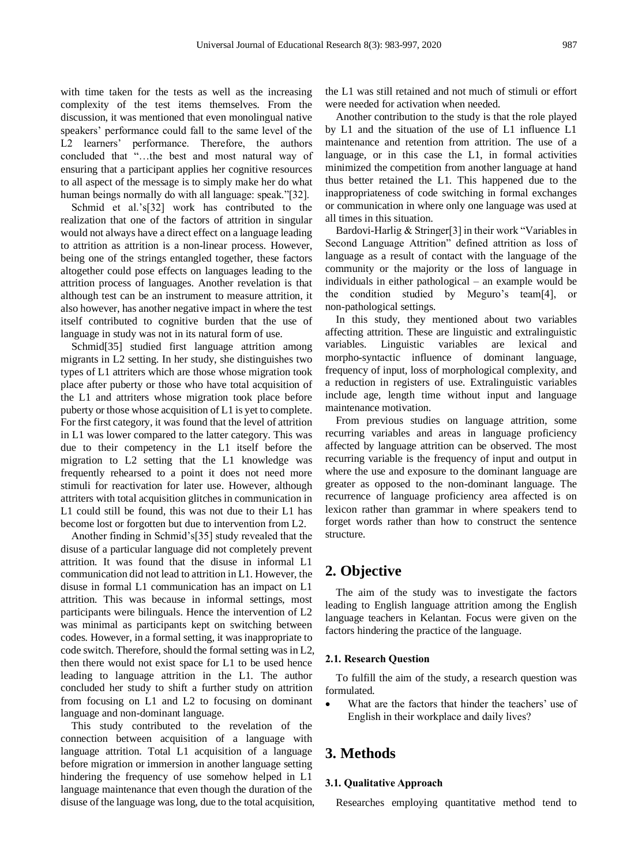with time taken for the tests as well as the increasing complexity of the test items themselves. From the discussion, it was mentioned that even monolingual native speakers' performance could fall to the same level of the L2 learners' performance. Therefore, the authors concluded that "…the best and most natural way of ensuring that a participant applies her cognitive resources to all aspect of the message is to simply make her do what human beings normally do with all language: speak."[32].

Schmid et al.'s[32] work has contributed to the realization that one of the factors of attrition in singular would not always have a direct effect on a language leading to attrition as attrition is a non-linear process. However, being one of the strings entangled together, these factors altogether could pose effects on languages leading to the attrition process of languages. Another revelation is that although test can be an instrument to measure attrition, it also however, has another negative impact in where the test itself contributed to cognitive burden that the use of language in study was not in its natural form of use.

Schmid[35] studied first language attrition among migrants in L2 setting. In her study, she distinguishes two types of L1 attriters which are those whose migration took place after puberty or those who have total acquisition of the L1 and attriters whose migration took place before puberty or those whose acquisition of L1 is yet to complete. For the first category, it was found that the level of attrition in L1 was lower compared to the latter category. This was due to their competency in the L1 itself before the migration to L2 setting that the L1 knowledge was frequently rehearsed to a point it does not need more stimuli for reactivation for later use. However, although attriters with total acquisition glitches in communication in L1 could still be found, this was not due to their L1 has become lost or forgotten but due to intervention from L2.

Another finding in Schmid's[35] study revealed that the disuse of a particular language did not completely prevent attrition. It was found that the disuse in informal L1 communication did not lead to attrition in L1. However, the disuse in formal L1 communication has an impact on L1 attrition. This was because in informal settings, most participants were bilinguals. Hence the intervention of L2 was minimal as participants kept on switching between codes. However, in a formal setting, it was inappropriate to code switch. Therefore, should the formal setting was in L2, then there would not exist space for L1 to be used hence leading to language attrition in the L1. The author concluded her study to shift a further study on attrition from focusing on L1 and L2 to focusing on dominant language and non-dominant language.

This study contributed to the revelation of the connection between acquisition of a language with language attrition. Total L1 acquisition of a language before migration or immersion in another language setting hindering the frequency of use somehow helped in L1 language maintenance that even though the duration of the disuse of the language was long, due to the total acquisition, the L1 was still retained and not much of stimuli or effort were needed for activation when needed.

Another contribution to the study is that the role played by L1 and the situation of the use of L1 influence L1 maintenance and retention from attrition. The use of a language, or in this case the L1, in formal activities minimized the competition from another language at hand thus better retained the L1. This happened due to the inappropriateness of code switching in formal exchanges or communication in where only one language was used at all times in this situation.

Bardovi-Harlig & Stringer[3] in their work "Variables in Second Language Attrition" defined attrition as loss of language as a result of contact with the language of the community or the majority or the loss of language in individuals in either pathological – an example would be the condition studied by Meguro's team[4], or non-pathological settings.

In this study, they mentioned about two variables affecting attrition. These are linguistic and extralinguistic variables. Linguistic variables are lexical and morpho-syntactic influence of dominant language, frequency of input, loss of morphological complexity, and a reduction in registers of use. Extralinguistic variables include age, length time without input and language maintenance motivation.

From previous studies on language attrition, some recurring variables and areas in language proficiency affected by language attrition can be observed. The most recurring variable is the frequency of input and output in where the use and exposure to the dominant language are greater as opposed to the non-dominant language. The recurrence of language proficiency area affected is on lexicon rather than grammar in where speakers tend to forget words rather than how to construct the sentence structure.

# **2. Objective**

The aim of the study was to investigate the factors leading to English language attrition among the English language teachers in Kelantan. Focus were given on the factors hindering the practice of the language.

# **2.1. Research Question**

To fulfill the aim of the study, a research question was formulated.

What are the factors that hinder the teachers' use of English in their workplace and daily lives?

# **3. Methods**

## **3.1. Qualitative Approach**

Researches employing quantitative method tend to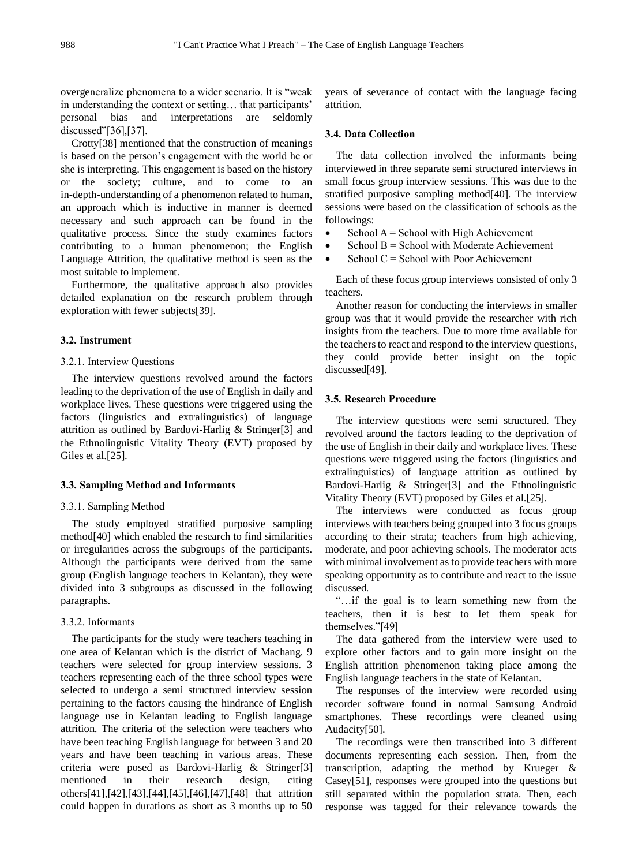overgeneralize phenomena to a wider scenario. It is "weak in understanding the context or setting… that participants' personal bias and interpretations are seldomly discussed"[36],[37].

Crotty[38] mentioned that the construction of meanings is based on the person's engagement with the world he or she is interpreting. This engagement is based on the history or the society; culture, and to come to an in-depth-understanding of a phenomenon related to human, an approach which is inductive in manner is deemed necessary and such approach can be found in the qualitative process. Since the study examines factors contributing to a human phenomenon; the English Language Attrition, the qualitative method is seen as the most suitable to implement.

Furthermore, the qualitative approach also provides detailed explanation on the research problem through exploration with fewer subjects[39].

#### **3.2. Instrument**

#### 3.2.1. Interview Questions

The interview questions revolved around the factors leading to the deprivation of the use of English in daily and workplace lives. These questions were triggered using the factors (linguistics and extralinguistics) of language attrition as outlined by Bardovi-Harlig & Stringer[3] and the Ethnolinguistic Vitality Theory (EVT) proposed by Giles et al.[25].

#### **3.3. Sampling Method and Informants**

# 3.3.1. Sampling Method

The study employed stratified purposive sampling method[40] which enabled the research to find similarities or irregularities across the subgroups of the participants. Although the participants were derived from the same group (English language teachers in Kelantan), they were divided into 3 subgroups as discussed in the following paragraphs.

#### 3.3.2. Informants

The participants for the study were teachers teaching in one area of Kelantan which is the district of Machang. 9 teachers were selected for group interview sessions. 3 teachers representing each of the three school types were selected to undergo a semi structured interview session pertaining to the factors causing the hindrance of English language use in Kelantan leading to English language attrition. The criteria of the selection were teachers who have been teaching English language for between 3 and 20 years and have been teaching in various areas. These criteria were posed as Bardovi-Harlig & Stringer[3] mentioned in their research design, citing others[41],[42],[43],[44],[45],[46],[47],[48] that attrition could happen in durations as short as 3 months up to 50

years of severance of contact with the language facing attrition.

# **3.4. Data Collection**

The data collection involved the informants being interviewed in three separate semi structured interviews in small focus group interview sessions. This was due to the stratified purposive sampling method[40]. The interview sessions were based on the classification of schools as the followings:

- School  $A =$  School with High Achievement
- School B = School with Moderate Achievement
- School  $C =$  School with Poor Achievement

Each of these focus group interviews consisted of only 3 teachers.

Another reason for conducting the interviews in smaller group was that it would provide the researcher with rich insights from the teachers. Due to more time available for the teachers to react and respond to the interview questions, they could provide better insight on the topic discussed[49].

## **3.5. Research Procedure**

The interview questions were semi structured. They revolved around the factors leading to the deprivation of the use of English in their daily and workplace lives. These questions were triggered using the factors (linguistics and extralinguistics) of language attrition as outlined by Bardovi-Harlig & Stringer[3] and the Ethnolinguistic Vitality Theory (EVT) proposed by Giles et al.[25].

The interviews were conducted as focus group interviews with teachers being grouped into 3 focus groups according to their strata; teachers from high achieving, moderate, and poor achieving schools. The moderator acts with minimal involvement as to provide teachers with more speaking opportunity as to contribute and react to the issue discussed.

"…if the goal is to learn something new from the teachers, then it is best to let them speak for themselves."[49]

The data gathered from the interview were used to explore other factors and to gain more insight on the English attrition phenomenon taking place among the English language teachers in the state of Kelantan.

The responses of the interview were recorded using recorder software found in normal Samsung Android smartphones. These recordings were cleaned using Audacity[50].

The recordings were then transcribed into 3 different documents representing each session. Then, from the transcription, adapting the method by Krueger & Casey[51], responses were grouped into the questions but still separated within the population strata. Then, each response was tagged for their relevance towards the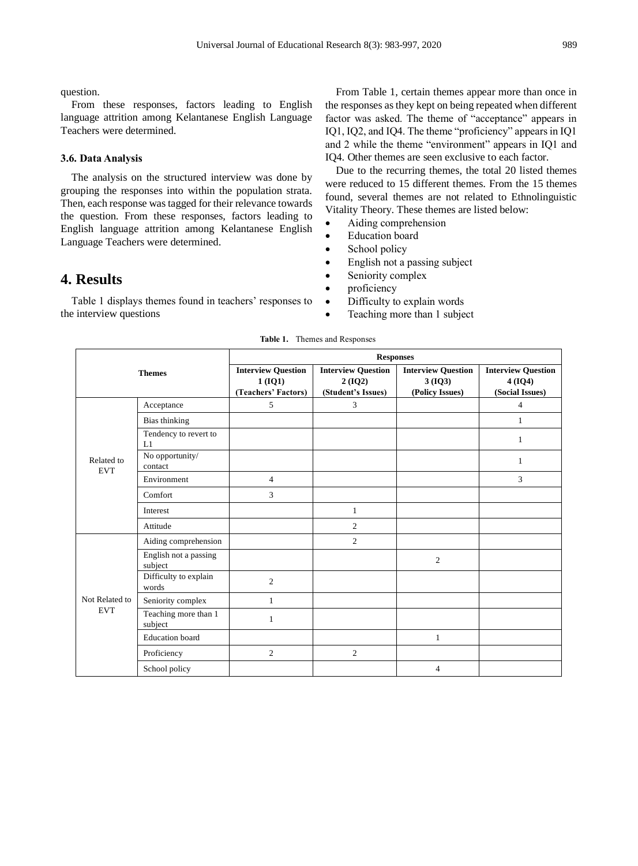question.

From these responses, factors leading to English language attrition among Kelantanese English Language Teachers were determined.

## **3.6. Data Analysis**

The analysis on the structured interview was done by grouping the responses into within the population strata. Then, each response was tagged for their relevance towards the question. From these responses, factors leading to English language attrition among Kelantanese English Language Teachers were determined.

# **4. Results**

Table 1 displays themes found in teachers' responses to the interview questions

From Table 1, certain themes appear more than once in the responses as they kept on being repeated when different factor was asked. The theme of "acceptance" appears in IQ1, IQ2, and IQ4. The theme "proficiency" appears in IQ1 and 2 while the theme "environment" appears in IQ1 and IQ4. Other themes are seen exclusive to each factor.

Due to the recurring themes, the total 20 listed themes were reduced to 15 different themes. From the 15 themes found, several themes are not related to Ethnolinguistic Vitality Theory. These themes are listed below:

- Aiding comprehension
- Education board
- School policy
- English not a passing subject
- Seniority complex
- proficiency
- Difficulty to explain words
- Teaching more than 1 subject

| <b>Themes</b>                |                                  | <b>Responses</b>                                              |                                                           |                                                        |                                                        |
|------------------------------|----------------------------------|---------------------------------------------------------------|-----------------------------------------------------------|--------------------------------------------------------|--------------------------------------------------------|
|                              |                                  | <b>Interview Question</b><br>$1 (IQ1)$<br>(Teachers' Factors) | <b>Interview Question</b><br>2(IQ2)<br>(Student's Issues) | <b>Interview Question</b><br>3(IQ3)<br>(Policy Issues) | <b>Interview Question</b><br>4(IQ4)<br>(Social Issues) |
| Related to<br><b>EVT</b>     | Acceptance                       | 5                                                             | 3                                                         |                                                        | 4                                                      |
|                              | Bias thinking                    |                                                               |                                                           |                                                        | 1                                                      |
|                              | Tendency to revert to<br>L1      |                                                               |                                                           |                                                        | 1                                                      |
|                              | No opportunity/<br>contact       |                                                               |                                                           |                                                        | 1                                                      |
|                              | Environment                      | $\overline{4}$                                                |                                                           |                                                        | 3                                                      |
|                              | Comfort                          | 3                                                             |                                                           |                                                        |                                                        |
|                              | Interest                         |                                                               | 1                                                         |                                                        |                                                        |
|                              | Attitude                         |                                                               | 2                                                         |                                                        |                                                        |
| Not Related to<br><b>EVT</b> | Aiding comprehension             |                                                               | $\overline{2}$                                            |                                                        |                                                        |
|                              | English not a passing<br>subject |                                                               |                                                           | 2                                                      |                                                        |
|                              | Difficulty to explain<br>words   | $\overline{2}$                                                |                                                           |                                                        |                                                        |
|                              | Seniority complex                | $\mathbf{1}$                                                  |                                                           |                                                        |                                                        |
|                              | Teaching more than 1<br>subject  | 1                                                             |                                                           |                                                        |                                                        |
|                              | <b>Education</b> board           |                                                               |                                                           | 1                                                      |                                                        |
|                              | Proficiency                      | 2                                                             | 2                                                         |                                                        |                                                        |
|                              | School policy                    |                                                               |                                                           | $\overline{4}$                                         |                                                        |

**Table 1.** Themes and Responses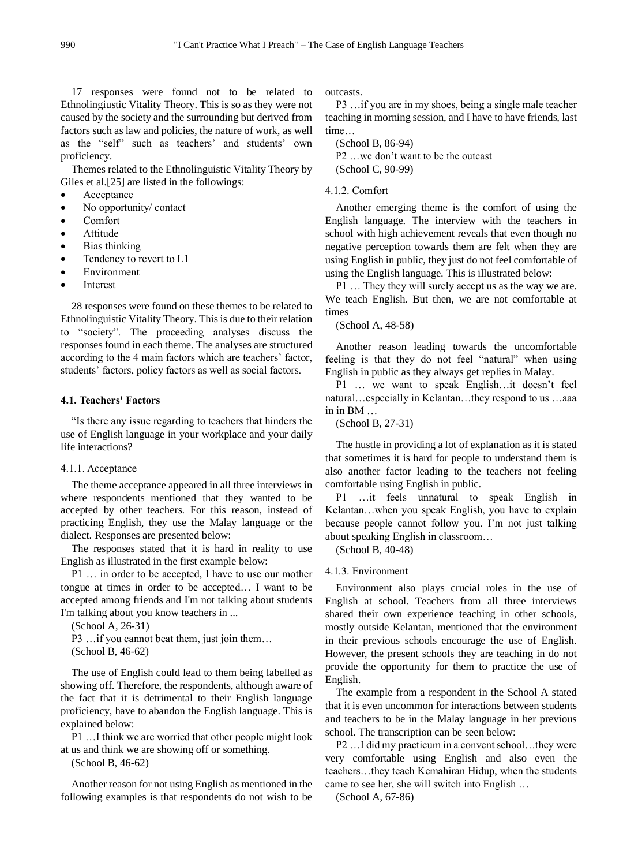17 responses were found not to be related to Ethnolingiustic Vitality Theory. This is so as they were not caused by the society and the surrounding but derived from factors such as law and policies, the nature of work, as well as the "self" such as teachers' and students' own proficiency.

Themes related to the Ethnolinguistic Vitality Theory by Giles et al.[25] are listed in the followings:

- **Acceptance**
- No opportunity/ contact
- Comfort
- **Attitude**
- Bias thinking
- Tendency to revert to L1
- **Environment**
- **Interest**

28 responses were found on these themes to be related to Ethnolinguistic Vitality Theory. This is due to their relation to "society". The proceeding analyses discuss the responses found in each theme. The analyses are structured according to the 4 main factors which are teachers' factor, students' factors, policy factors as well as social factors.

# **4.1. Teachers' Factors**

"Is there any issue regarding to teachers that hinders the use of English language in your workplace and your daily life interactions?

# 4.1.1. Acceptance

The theme acceptance appeared in all three interviews in where respondents mentioned that they wanted to be accepted by other teachers. For this reason, instead of practicing English, they use the Malay language or the dialect. Responses are presented below:

The responses stated that it is hard in reality to use English as illustrated in the first example below:

P1 … in order to be accepted, I have to use our mother tongue at times in order to be accepted… I want to be accepted among friends and I'm not talking about students I'm talking about you know teachers in ...

(School A, 26-31)

P3 ... if you cannot beat them, just join them... (School B, 46-62)

The use of English could lead to them being labelled as showing off. Therefore, the respondents, although aware of the fact that it is detrimental to their English language proficiency, have to abandon the English language. This is explained below:

P1 …I think we are worried that other people might look at us and think we are showing off or something.

(School B, 46-62)

Another reason for not using English as mentioned in the following examples is that respondents do not wish to be outcasts.

P3 …if you are in my shoes, being a single male teacher teaching in morning session, and I have to have friends, last time…

(School B, 86-94) P2 …we don't want to be the outcast (School C, 90-99)

# 4.1.2. Comfort

Another emerging theme is the comfort of using the English language. The interview with the teachers in school with high achievement reveals that even though no negative perception towards them are felt when they are using English in public, they just do not feel comfortable of using the English language. This is illustrated below:

P1 … They they will surely accept us as the way we are. We teach English. But then, we are not comfortable at times

(School A, 48-58)

Another reason leading towards the uncomfortable feeling is that they do not feel "natural" when using English in public as they always get replies in Malay.

P1 … we want to speak English…it doesn't feel natural…especially in Kelantan…they respond to us …aaa in in BM …

(School B, 27-31)

The hustle in providing a lot of explanation as it is stated that sometimes it is hard for people to understand them is also another factor leading to the teachers not feeling comfortable using English in public.

P1 …it feels unnatural to speak English in Kelantan…when you speak English, you have to explain because people cannot follow you. I'm not just talking about speaking English in classroom…

(School B, 40-48)

# 4.1.3. Environment

Environment also plays crucial roles in the use of English at school. Teachers from all three interviews shared their own experience teaching in other schools, mostly outside Kelantan, mentioned that the environment in their previous schools encourage the use of English. However, the present schools they are teaching in do not provide the opportunity for them to practice the use of English.

The example from a respondent in the School A stated that it is even uncommon for interactions between students and teachers to be in the Malay language in her previous school. The transcription can be seen below:

P2 …I did my practicum in a convent school…they were very comfortable using English and also even the teachers…they teach Kemahiran Hidup, when the students came to see her, she will switch into English …

(School A, 67-86)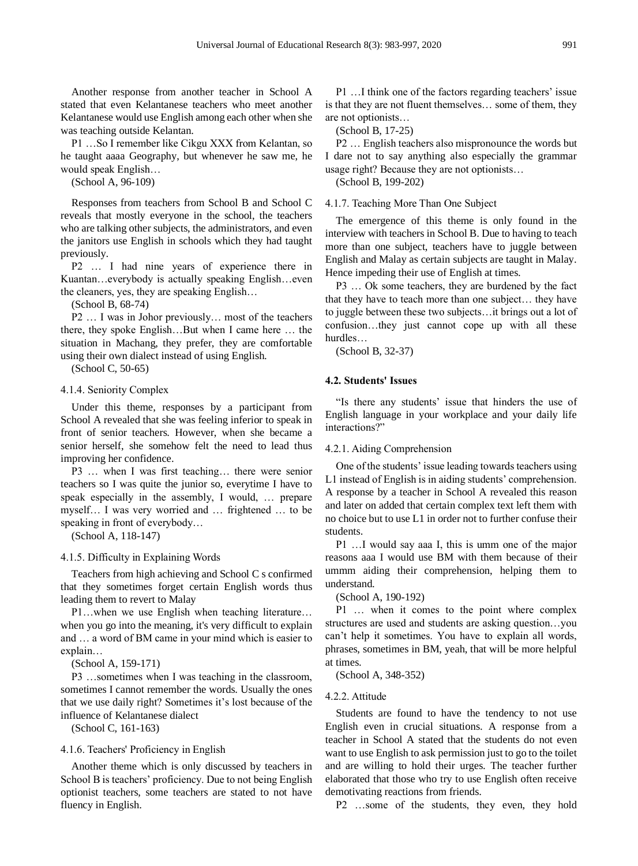Another response from another teacher in School A stated that even Kelantanese teachers who meet another Kelantanese would use English among each other when she was teaching outside Kelantan.

P1 …So I remember like Cikgu XXX from Kelantan, so he taught aaaa Geography, but whenever he saw me, he would speak English…

(School A, 96-109)

Responses from teachers from School B and School C reveals that mostly everyone in the school, the teachers who are talking other subjects, the administrators, and even the janitors use English in schools which they had taught previously.

P2 … I had nine years of experience there in Kuantan…everybody is actually speaking English…even the cleaners, yes, they are speaking English…

(School B, 68-74)

P2 … I was in Johor previously… most of the teachers there, they spoke English…But when I came here … the situation in Machang, they prefer, they are comfortable using their own dialect instead of using English.

(School C, 50-65)

# 4.1.4. Seniority Complex

Under this theme, responses by a participant from School A revealed that she was feeling inferior to speak in front of senior teachers. However, when she became a senior herself, she somehow felt the need to lead thus improving her confidence.

P3 … when I was first teaching… there were senior teachers so I was quite the junior so, everytime I have to speak especially in the assembly, I would, … prepare myself… I was very worried and … frightened … to be speaking in front of everybody…

(School A, 118-147)

4.1.5. Difficulty in Explaining Words

Teachers from high achieving and School C s confirmed that they sometimes forget certain English words thus leading them to revert to Malay

P1…when we use English when teaching literature… when you go into the meaning, it's very difficult to explain and … a word of BM came in your mind which is easier to explain…

(School A, 159-171)

P3 …sometimes when I was teaching in the classroom, sometimes I cannot remember the words. Usually the ones that we use daily right? Sometimes it's lost because of the influence of Kelantanese dialect

(School C, 161-163)

### 4.1.6. Teachers' Proficiency in English

Another theme which is only discussed by teachers in School B is teachers' proficiency. Due to not being English optionist teachers, some teachers are stated to not have fluency in English.

P1 …I think one of the factors regarding teachers' issue is that they are not fluent themselves… some of them, they are not optionists…

(School B, 17-25)

P2 … English teachers also mispronounce the words but I dare not to say anything also especially the grammar usage right? Because they are not optionists…

(School B, 199-202)

4.1.7. Teaching More Than One Subject

The emergence of this theme is only found in the interview with teachers in School B. Due to having to teach more than one subject, teachers have to juggle between English and Malay as certain subjects are taught in Malay. Hence impeding their use of English at times.

P3 … Ok some teachers, they are burdened by the fact that they have to teach more than one subject… they have to juggle between these two subjects…it brings out a lot of confusion…they just cannot cope up with all these hurdles…

(School B, 32-37)

# **4.2. Students' Issues**

"Is there any students' issue that hinders the use of English language in your workplace and your daily life interactions?"

4.2.1. Aiding Comprehension

One of the students' issue leading towards teachers using L1 instead of English is in aiding students' comprehension. A response by a teacher in School A revealed this reason and later on added that certain complex text left them with no choice but to use L1 in order not to further confuse their students.

P1 …I would say aaa I, this is umm one of the major reasons aaa I would use BM with them because of their ummm aiding their comprehension, helping them to understand.

(School A, 190-192)

P1 … when it comes to the point where complex structures are used and students are asking question…you can't help it sometimes. You have to explain all words, phrases, sometimes in BM, yeah, that will be more helpful at times.

(School A, 348-352)

#### 4.2.2. Attitude

Students are found to have the tendency to not use English even in crucial situations. A response from a teacher in School A stated that the students do not even want to use English to ask permission just to go to the toilet and are willing to hold their urges. The teacher further elaborated that those who try to use English often receive demotivating reactions from friends.

P2 …some of the students, they even, they hold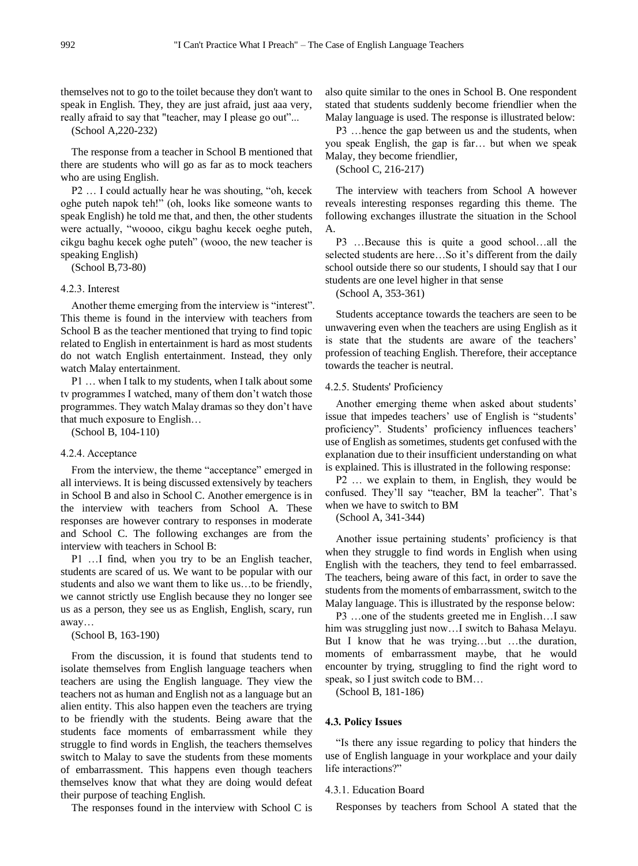themselves not to go to the toilet because they don't want to speak in English. They, they are just afraid, just aaa very, really afraid to say that "teacher, may I please go out"...

(School A,220-232)

The response from a teacher in School B mentioned that there are students who will go as far as to mock teachers who are using English.

P2 … I could actually hear he was shouting, "oh, kecek oghe puteh napok teh!" (oh, looks like someone wants to speak English) he told me that, and then, the other students were actually, "woooo, cikgu baghu kecek oeghe puteh, cikgu baghu kecek oghe puteh" (wooo, the new teacher is speaking English)

(School B,73-80)

#### 4.2.3. Interest

Another theme emerging from the interview is "interest". This theme is found in the interview with teachers from School B as the teacher mentioned that trying to find topic related to English in entertainment is hard as most students do not watch English entertainment. Instead, they only watch Malay entertainment.

P1 … when I talk to my students, when I talk about some tv programmes I watched, many of them don't watch those programmes. They watch Malay dramas so they don't have that much exposure to English…

(School B, 104-110)

## 4.2.4. Acceptance

From the interview, the theme "acceptance" emerged in all interviews. It is being discussed extensively by teachers in School B and also in School C. Another emergence is in the interview with teachers from School A. These responses are however contrary to responses in moderate and School C. The following exchanges are from the interview with teachers in School B:

P1 …I find, when you try to be an English teacher, students are scared of us. We want to be popular with our students and also we want them to like us…to be friendly, we cannot strictly use English because they no longer see us as a person, they see us as English, English, scary, run away…

(School B, 163-190)

From the discussion, it is found that students tend to isolate themselves from English language teachers when teachers are using the English language. They view the teachers not as human and English not as a language but an alien entity. This also happen even the teachers are trying to be friendly with the students. Being aware that the students face moments of embarrassment while they struggle to find words in English, the teachers themselves switch to Malay to save the students from these moments of embarrassment. This happens even though teachers themselves know that what they are doing would defeat their purpose of teaching English.

The responses found in the interview with School C is

also quite similar to the ones in School B. One respondent stated that students suddenly become friendlier when the Malay language is used. The response is illustrated below:

P3 …hence the gap between us and the students, when you speak English, the gap is far… but when we speak Malay, they become friendlier,

(School C, 216-217)

The interview with teachers from School A however reveals interesting responses regarding this theme. The following exchanges illustrate the situation in the School A.

P3 …Because this is quite a good school…all the selected students are here…So it's different from the daily school outside there so our students, I should say that I our students are one level higher in that sense

(School A, 353-361)

Students acceptance towards the teachers are seen to be unwavering even when the teachers are using English as it is state that the students are aware of the teachers' profession of teaching English. Therefore, their acceptance towards the teacher is neutral.

#### 4.2.5. Students' Proficiency

Another emerging theme when asked about students' issue that impedes teachers' use of English is "students' proficiency". Students' proficiency influences teachers' use of English as sometimes, students get confused with the explanation due to their insufficient understanding on what is explained. This is illustrated in the following response:

P2 … we explain to them, in English, they would be confused. They'll say "teacher, BM la teacher". That's when we have to switch to BM

(School A, 341-344)

Another issue pertaining students' proficiency is that when they struggle to find words in English when using English with the teachers, they tend to feel embarrassed. The teachers, being aware of this fact, in order to save the students from the moments of embarrassment, switch to the Malay language. This is illustrated by the response below:

P3 …one of the students greeted me in English…I saw him was struggling just now...I switch to Bahasa Melayu. But I know that he was trying…but …the duration, moments of embarrassment maybe, that he would encounter by trying, struggling to find the right word to speak, so I just switch code to BM…

(School B, 181-186)

#### **4.3. Policy Issues**

"Is there any issue regarding to policy that hinders the use of English language in your workplace and your daily life interactions?"

#### 4.3.1. Education Board

Responses by teachers from School A stated that the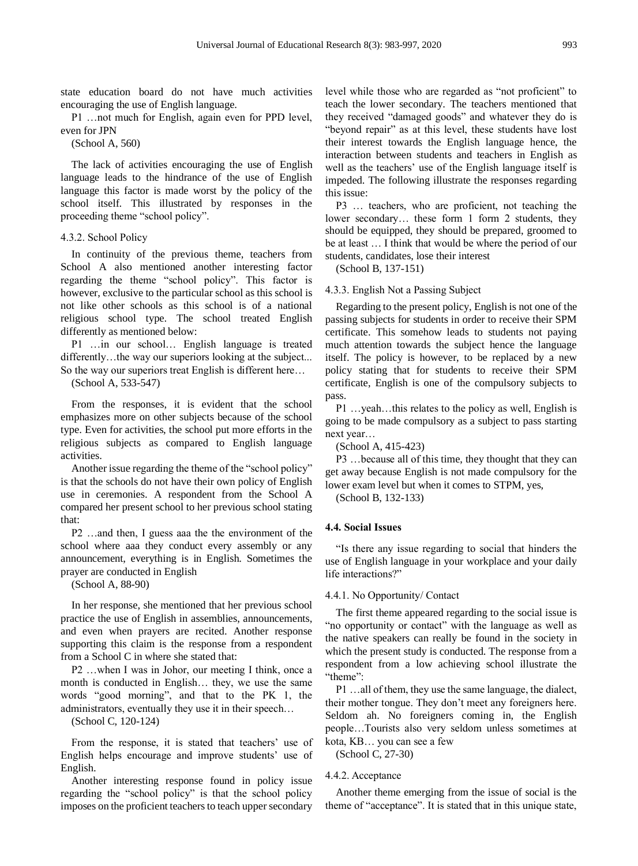state education board do not have much activities encouraging the use of English language.

P1 …not much for English, again even for PPD level, even for JPN

(School A, 560)

The lack of activities encouraging the use of English language leads to the hindrance of the use of English language this factor is made worst by the policy of the school itself. This illustrated by responses in the proceeding theme "school policy".

#### 4.3.2. School Policy

In continuity of the previous theme, teachers from School A also mentioned another interesting factor regarding the theme "school policy". This factor is however, exclusive to the particular school as this school is not like other schools as this school is of a national religious school type. The school treated English differently as mentioned below:

P1 …in our school… English language is treated differently...the way our superiors looking at the subject... So the way our superiors treat English is different here…

(School A, 533-547)

From the responses, it is evident that the school emphasizes more on other subjects because of the school type. Even for activities, the school put more efforts in the religious subjects as compared to English language activities.

Another issue regarding the theme of the "school policy" is that the schools do not have their own policy of English use in ceremonies. A respondent from the School A compared her present school to her previous school stating that:

P2 …and then, I guess aaa the the environment of the school where aaa they conduct every assembly or any announcement, everything is in English. Sometimes the prayer are conducted in English

(School A, 88-90)

In her response, she mentioned that her previous school practice the use of English in assemblies, announcements, and even when prayers are recited. Another response supporting this claim is the response from a respondent from a School C in where she stated that:

P2 …when I was in Johor, our meeting I think, once a month is conducted in English… they, we use the same words "good morning", and that to the PK 1, the administrators, eventually they use it in their speech…

(School C, 120-124)

From the response, it is stated that teachers' use of English helps encourage and improve students' use of English.

Another interesting response found in policy issue regarding the "school policy" is that the school policy imposes on the proficient teachers to teach upper secondary level while those who are regarded as "not proficient" to teach the lower secondary. The teachers mentioned that they received "damaged goods" and whatever they do is "beyond repair" as at this level, these students have lost their interest towards the English language hence, the interaction between students and teachers in English as well as the teachers' use of the English language itself is impeded. The following illustrate the responses regarding this issue:

P3 … teachers, who are proficient, not teaching the lower secondary... these form 1 form 2 students, they should be equipped, they should be prepared, groomed to be at least … I think that would be where the period of our students, candidates, lose their interest

(School B, 137-151)

#### 4.3.3. English Not a Passing Subject

Regarding to the present policy, English is not one of the passing subjects for students in order to receive their SPM certificate. This somehow leads to students not paying much attention towards the subject hence the language itself. The policy is however, to be replaced by a new policy stating that for students to receive their SPM certificate, English is one of the compulsory subjects to pass.

P1 …yeah…this relates to the policy as well, English is going to be made compulsory as a subject to pass starting next year…

(School A, 415-423)

P3 …because all of this time, they thought that they can get away because English is not made compulsory for the lower exam level but when it comes to STPM, yes,

(School B, 132-133)

#### **4.4. Social Issues**

"Is there any issue regarding to social that hinders the use of English language in your workplace and your daily life interactions?"

#### 4.4.1. No Opportunity/ Contact

The first theme appeared regarding to the social issue is "no opportunity or contact" with the language as well as the native speakers can really be found in the society in which the present study is conducted. The response from a respondent from a low achieving school illustrate the "theme":

P1 …all of them, they use the same language, the dialect, their mother tongue. They don't meet any foreigners here. Seldom ah. No foreigners coming in, the English people…Tourists also very seldom unless sometimes at kota, KB… you can see a few

(School C, 27-30)

#### 4.4.2. Acceptance

Another theme emerging from the issue of social is the theme of "acceptance". It is stated that in this unique state,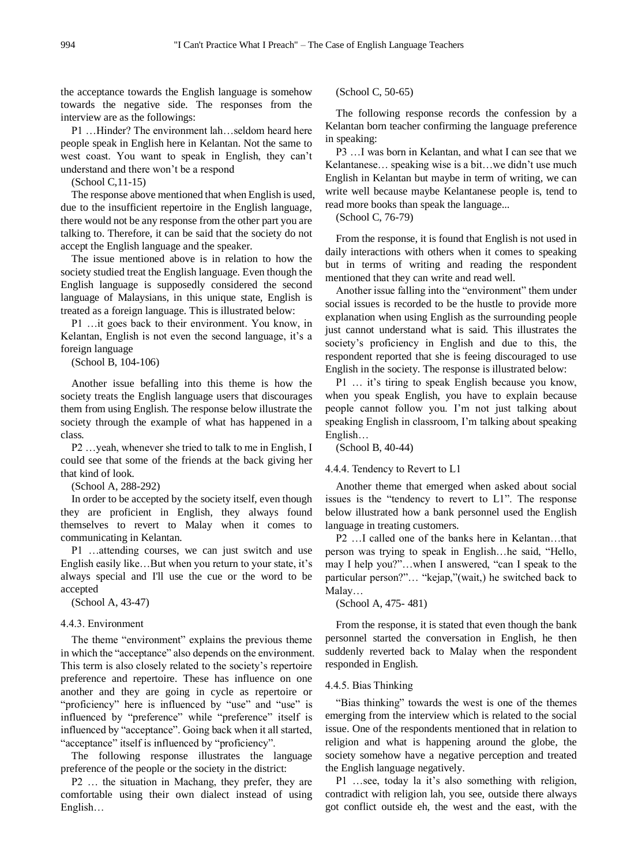the acceptance towards the English language is somehow towards the negative side. The responses from the interview are as the followings:

P1 …Hinder? The environment lah…seldom heard here people speak in English here in Kelantan. Not the same to west coast. You want to speak in English, they can't understand and there won't be a respond

(School C,11-15)

The response above mentioned that when English is used, due to the insufficient repertoire in the English language, there would not be any response from the other part you are talking to. Therefore, it can be said that the society do not accept the English language and the speaker.

The issue mentioned above is in relation to how the society studied treat the English language. Even though the English language is supposedly considered the second language of Malaysians, in this unique state, English is treated as a foreign language. This is illustrated below:

P1 …it goes back to their environment. You know, in Kelantan, English is not even the second language, it's a foreign language

(School B, 104-106)

Another issue befalling into this theme is how the society treats the English language users that discourages them from using English. The response below illustrate the society through the example of what has happened in a class.

P2 …yeah, whenever she tried to talk to me in English, I could see that some of the friends at the back giving her that kind of look.

(School A, 288-292)

In order to be accepted by the society itself, even though they are proficient in English, they always found themselves to revert to Malay when it comes to communicating in Kelantan.

P1 …attending courses, we can just switch and use English easily like…But when you return to your state, it's always special and I'll use the cue or the word to be accepted

(School A, 43-47)

## 4.4.3. Environment

The theme "environment" explains the previous theme in which the "acceptance" also depends on the environment. This term is also closely related to the society's repertoire preference and repertoire. These has influence on one another and they are going in cycle as repertoire or "proficiency" here is influenced by "use" and "use" is influenced by "preference" while "preference" itself is influenced by "acceptance". Going back when it all started, "acceptance" itself is influenced by "proficiency".

The following response illustrates the language preference of the people or the society in the district:

P2 … the situation in Machang, they prefer, they are comfortable using their own dialect instead of using English…

(School C, 50-65)

The following response records the confession by a Kelantan born teacher confirming the language preference in speaking:

P3 …I was born in Kelantan, and what I can see that we Kelantanese… speaking wise is a bit…we didn't use much English in Kelantan but maybe in term of writing, we can write well because maybe Kelantanese people is, tend to read more books than speak the language...

(School C, 76-79)

From the response, it is found that English is not used in daily interactions with others when it comes to speaking but in terms of writing and reading the respondent mentioned that they can write and read well.

Another issue falling into the "environment" them under social issues is recorded to be the hustle to provide more explanation when using English as the surrounding people just cannot understand what is said. This illustrates the society's proficiency in English and due to this, the respondent reported that she is feeing discouraged to use English in the society. The response is illustrated below:

P1 … it's tiring to speak English because you know, when you speak English, you have to explain because people cannot follow you. I'm not just talking about speaking English in classroom, I'm talking about speaking English…

(School B, 40-44)

## 4.4.4. Tendency to Revert to L1

Another theme that emerged when asked about social issues is the "tendency to revert to L1". The response below illustrated how a bank personnel used the English language in treating customers.

P2 …I called one of the banks here in Kelantan…that person was trying to speak in English…he said, "Hello, may I help you?"…when I answered, "can I speak to the particular person?"… "kejap,"(wait,) he switched back to Malay…

(School A, 475- 481)

From the response, it is stated that even though the bank personnel started the conversation in English, he then suddenly reverted back to Malay when the respondent responded in English.

## 4.4.5. Bias Thinking

"Bias thinking" towards the west is one of the themes emerging from the interview which is related to the social issue. One of the respondents mentioned that in relation to religion and what is happening around the globe, the society somehow have a negative perception and treated the English language negatively.

P1 …see, today la it's also something with religion, contradict with religion lah, you see, outside there always got conflict outside eh, the west and the east, with the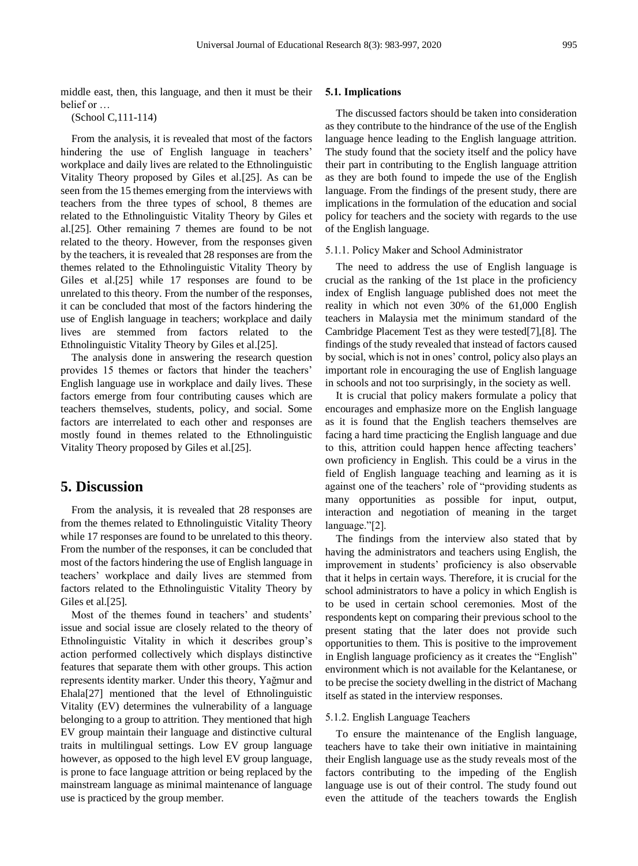middle east, then, this language, and then it must be their belief or …

(School C,111-114)

From the analysis, it is revealed that most of the factors hindering the use of English language in teachers' workplace and daily lives are related to the Ethnolinguistic Vitality Theory proposed by Giles et al.[25]. As can be seen from the 15 themes emerging from the interviews with teachers from the three types of school, 8 themes are related to the Ethnolinguistic Vitality Theory by Giles et al.[25]. Other remaining 7 themes are found to be not related to the theory. However, from the responses given by the teachers, it is revealed that 28 responses are from the themes related to the Ethnolinguistic Vitality Theory by Giles et al.[25] while 17 responses are found to be unrelated to this theory. From the number of the responses, it can be concluded that most of the factors hindering the use of English language in teachers; workplace and daily lives are stemmed from factors related to the Ethnolinguistic Vitality Theory by Giles et al.[25].

The analysis done in answering the research question provides 15 themes or factors that hinder the teachers' English language use in workplace and daily lives. These factors emerge from four contributing causes which are teachers themselves, students, policy, and social. Some factors are interrelated to each other and responses are mostly found in themes related to the Ethnolinguistic Vitality Theory proposed by Giles et al.[25].

# **5. Discussion**

From the analysis, it is revealed that 28 responses are from the themes related to Ethnolinguistic Vitality Theory while 17 responses are found to be unrelated to this theory. From the number of the responses, it can be concluded that most of the factors hindering the use of English language in teachers' workplace and daily lives are stemmed from factors related to the Ethnolinguistic Vitality Theory by Giles et al.<sup>[25]</sup>.

Most of the themes found in teachers' and students' issue and social issue are closely related to the theory of Ethnolinguistic Vitality in which it describes group's action performed collectively which displays distinctive features that separate them with other groups. This action represents identity marker. Under this theory, Yağmur and Ehala[27] mentioned that the level of Ethnolinguistic Vitality (EV) determines the vulnerability of a language belonging to a group to attrition. They mentioned that high EV group maintain their language and distinctive cultural traits in multilingual settings. Low EV group language however, as opposed to the high level EV group language, is prone to face language attrition or being replaced by the mainstream language as minimal maintenance of language use is practiced by the group member.

# **5.1. Implications**

The discussed factors should be taken into consideration as they contribute to the hindrance of the use of the English language hence leading to the English language attrition. The study found that the society itself and the policy have their part in contributing to the English language attrition as they are both found to impede the use of the English language. From the findings of the present study, there are implications in the formulation of the education and social policy for teachers and the society with regards to the use of the English language.

#### 5.1.1. Policy Maker and School Administrator

The need to address the use of English language is crucial as the ranking of the 1st place in the proficiency index of English language published does not meet the reality in which not even 30% of the 61,000 English teachers in Malaysia met the minimum standard of the Cambridge Placement Test as they were tested[7],[8]. The findings of the study revealed that instead of factors caused by social, which is not in ones' control, policy also plays an important role in encouraging the use of English language in schools and not too surprisingly, in the society as well.

It is crucial that policy makers formulate a policy that encourages and emphasize more on the English language as it is found that the English teachers themselves are facing a hard time practicing the English language and due to this, attrition could happen hence affecting teachers' own proficiency in English. This could be a virus in the field of English language teaching and learning as it is against one of the teachers' role of "providing students as many opportunities as possible for input, output, interaction and negotiation of meaning in the target language."[2].

The findings from the interview also stated that by having the administrators and teachers using English, the improvement in students' proficiency is also observable that it helps in certain ways. Therefore, it is crucial for the school administrators to have a policy in which English is to be used in certain school ceremonies. Most of the respondents kept on comparing their previous school to the present stating that the later does not provide such opportunities to them. This is positive to the improvement in English language proficiency as it creates the "English" environment which is not available for the Kelantanese, or to be precise the society dwelling in the district of Machang itself as stated in the interview responses.

#### 5.1.2. English Language Teachers

To ensure the maintenance of the English language, teachers have to take their own initiative in maintaining their English language use as the study reveals most of the factors contributing to the impeding of the English language use is out of their control. The study found out even the attitude of the teachers towards the English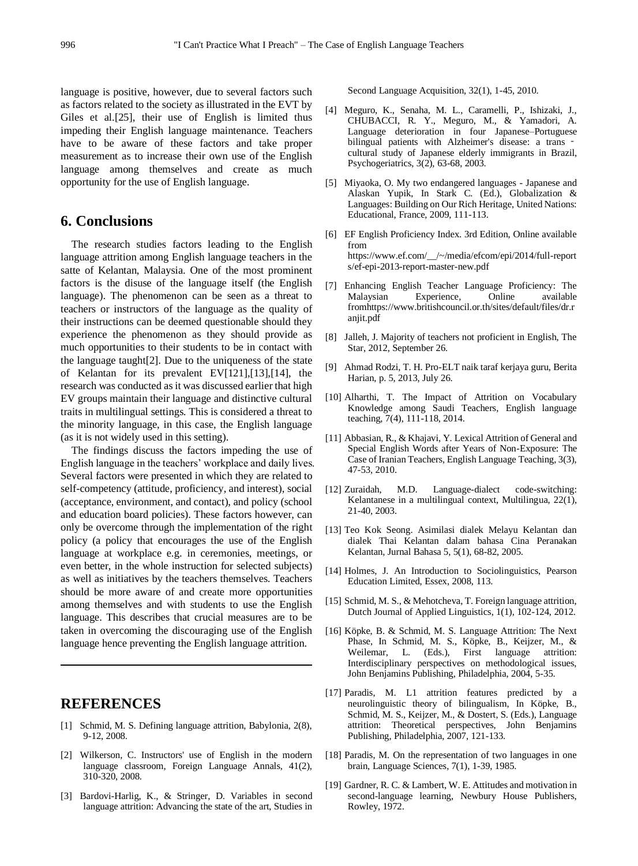language is positive, however, due to several factors such as factors related to the society as illustrated in the EVT by Giles et al.[25], their use of English is limited thus impeding their English language maintenance. Teachers have to be aware of these factors and take proper measurement as to increase their own use of the English language among themselves and create as much opportunity for the use of English language.

# **6. Conclusions**

The research studies factors leading to the English language attrition among English language teachers in the satte of Kelantan, Malaysia. One of the most prominent factors is the disuse of the language itself (the English language). The phenomenon can be seen as a threat to teachers or instructors of the language as the quality of their instructions can be deemed questionable should they experience the phenomenon as they should provide as much opportunities to their students to be in contact with the language taught[2]. Due to the uniqueness of the state of Kelantan for its prevalent EV[121],[13],[14], the research was conducted as it was discussed earlier that high EV groups maintain their language and distinctive cultural traits in multilingual settings. This is considered a threat to the minority language, in this case, the English language (as it is not widely used in this setting).

The findings discuss the factors impeding the use of English language in the teachers' workplace and daily lives. Several factors were presented in which they are related to self-competency (attitude, proficiency, and interest), social (acceptance, environment, and contact), and policy (school and education board policies). These factors however, can only be overcome through the implementation of the right policy (a policy that encourages the use of the English language at workplace e.g. in ceremonies, meetings, or even better, in the whole instruction for selected subjects) as well as initiatives by the teachers themselves. Teachers should be more aware of and create more opportunities among themselves and with students to use the English language. This describes that crucial measures are to be taken in overcoming the discouraging use of the English language hence preventing the English language attrition.

# **REFERENCES**

- [1] Schmid, M. S. Defining language attrition, Babylonia, 2(8), 9-12, 2008.
- [2] Wilkerson, C. Instructors' use of English in the modern language classroom, Foreign Language Annals, 41(2), 310-320, 2008.
- [3] Bardovi-Harlig, K., & Stringer, D. Variables in second language attrition: Advancing the state of the art, Studies in

Second Language Acquisition, 32(1), 1-45, 2010.

- [4] Meguro, K., Senaha, M. L., Caramelli, P., Ishizaki, J., CHUBACCI, R. Y., Meguro, M., & Yamadori, A. Language deterioration in four Japanese–Portuguese bilingual patients with Alzheimer's disease: a trans ‐ cultural study of Japanese elderly immigrants in Brazil, Psychogeriatrics, 3(2), 63-68, 2003.
- [5] Miyaoka, O. My two endangered languages Japanese and Alaskan Yupik, In Stark C. (Ed.), Globalization & Languages: Building on Our Rich Heritage, United Nations: Educational, France, 2009, 111-113.
- [6] EF English Proficiency Index. 3rd Edition, Online available from https://www.ef.com/\_\_/~/media/efcom/epi/2014/full-report s/ef-epi-2013-report-master-new.pdf
- [7] Enhancing English Teacher Language Proficiency: The Malaysian Experience, Online available fromhttps://www.britishcouncil.or.th/sites/default/files/dr.r anjit.pdf
- [8] Jalleh, J. Majority of teachers not proficient in English, The Star, 2012, September 26.
- [9] Ahmad Rodzi, T. H. Pro-ELT naik taraf kerjaya guru, Berita Harian, p. 5, 2013, July 26.
- [10] Alharthi, T. The Impact of Attrition on Vocabulary Knowledge among Saudi Teachers, English language teaching, 7(4), 111-118, 2014.
- [11] Abbasian, R., & Khajavi, Y. Lexical Attrition of General and Special English Words after Years of Non-Exposure: The Case of Iranian Teachers, English Language Teaching, 3(3), 47-53, 2010.
- [12] Zuraidah, M.D. Language-dialect code-switching: Kelantanese in a multilingual context, Multilingua, 22(1), 21-40, 2003.
- [13] Teo Kok Seong. Asimilasi dialek Melayu Kelantan dan dialek Thai Kelantan dalam bahasa Cina Peranakan Kelantan, Jurnal Bahasa 5, 5(1), 68-82, 2005.
- [14] Holmes, J. An Introduction to Sociolinguistics, Pearson Education Limited, Essex, 2008, 113.
- [15] Schmid, M. S., & Mehotcheva, T. Foreign language attrition, Dutch Journal of Applied Linguistics, 1(1), 102-124, 2012.
- [16] Köpke, B. & Schmid, M. S. Language Attrition: The Next Phase, In Schmid, M. S., Köpke, B., Keijzer, M., & Weilemar, L. (Eds.), First language attrition: Interdisciplinary perspectives on methodological issues, John Benjamins Publishing, Philadelphia, 2004, 5-35.
- [17] Paradis, M. L1 attrition features predicted by a neurolinguistic theory of bilingualism, In Köpke, B., Schmid, M. S., Keijzer, M., & Dostert, S. (Eds.), Language attrition: Theoretical perspectives, John Benjamins Publishing, Philadelphia, 2007, 121-133.
- [18] Paradis, M. On the representation of two languages in one brain, Language Sciences, 7(1), 1-39, 1985.
- [19] Gardner, R. C. & Lambert, W. E. Attitudes and motivation in second-language learning, Newbury House Publishers, Rowley, 1972.